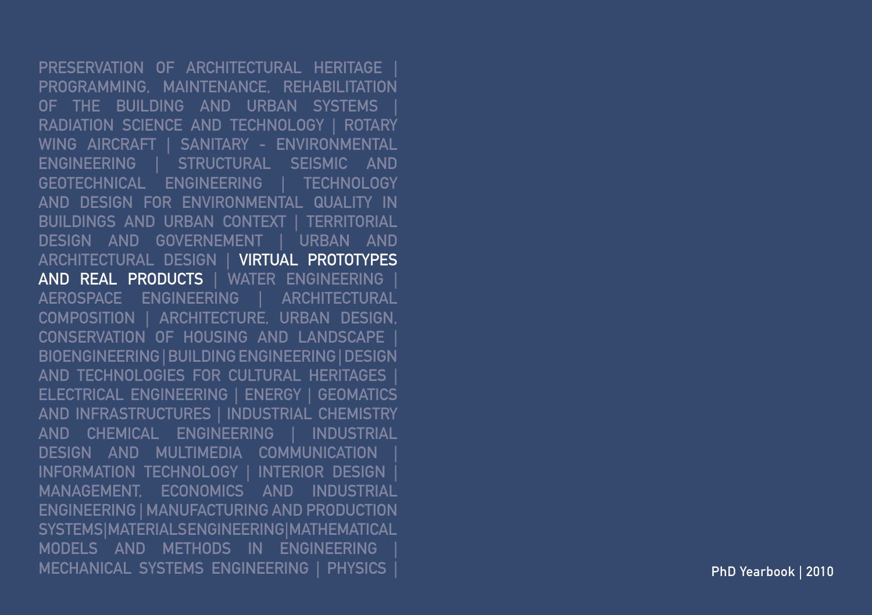PRESERVATION OF ARCHITECTURAL HERITAGE | PROGRAMMING, MAINTENANCE, REHABILITATION OF THE BUILDING AND URBAN SYSTEMS RADIATION SCIENCE AND TECHNOLOGY | RO Wing Aircraft | SANITARY - ENVIRONMENTAL ENGINEERING | STRUCTURAL SEISMIC AND GEOTECHNICAL ENGINEERING | TECHNOLOGY AND DESIGN FOR ENVIRONMENTAL QUALITY IN BUILDINGS AND URBAN CONTEXT | TERRITORIAL DESIGN AND GOVERNEMENT | URBAN AND ARCHITECTURAL DESIGN | **VIRTUAL PR** and Real Products | WATER ENGINEERING | AEROSPACE ENGINEERING | ARCHITECTURAL COMPOSITION | ARCHITECTURE, URBAN DESIGN, CONSERVATION OF HOUSING AND LANDSCAPE | BIOENGINEERING | BUILDING ENGINEERING | DESIGN AND TECHNOLOGIES FOR CULTURAL HERITAGES ELECTRICAL ENGINEERING | ENERGY | GEOMATICS AND INFRASTRUCTURES | INDUSTRIAL CHEMISTRY AND CHEMICAL ENGINEERING | INDUSTRIAL DESIGN AND MULTIMEDIA COMMUNICATION INFORMATION TECHNOLOGY | INTERIOR DESIGN MANAGEMENT, ECONOMICS AND INDUSTRIAL ENGINEERING | MANUFACTURING AND PRODUCTION SYSTEMS | MATERIALS ENGINEERING | MATHEMATICAL MODELS AND METHODS IN ENGINEERING | MECHANICAL SYSTEMS ENGINEERING | PHYSICS | PhD Yearbook | 2010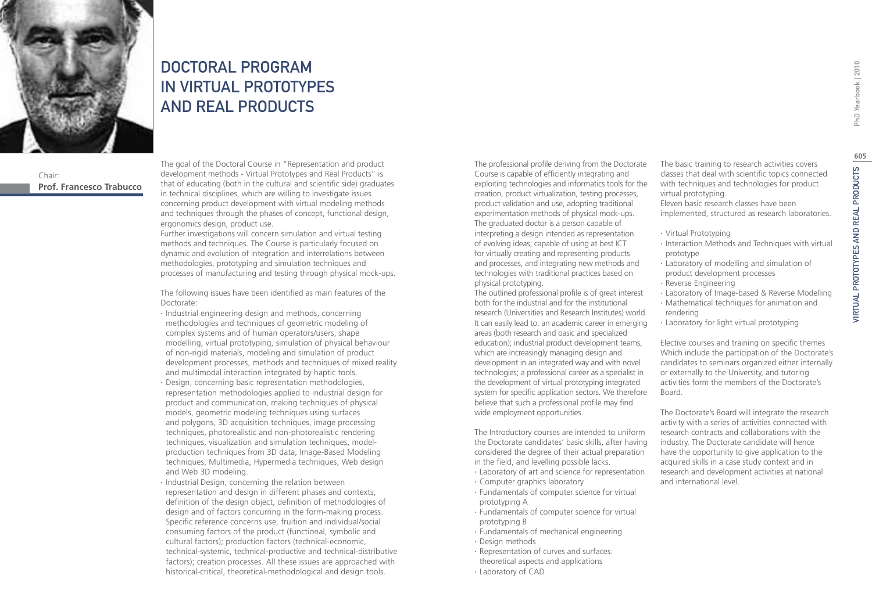

# DOCTORAL PROGRAM IN Virtual Prototypes and Real Products

Chair: **Prof. Francesco Trabucco** The goal of the Doctoral Course in "Representation and product development methods - Virtual Prototypes and Real Products" is that of educating (both in the cultural and scientific side) graduates in technical disciplines, which are willing to investigate issues concerning product development with virtual modeling methods and techniques through the phases of concept, functional design, ergonomics design, product use.

Further investigations will concern simulation and virtual testing methods and techniques. The Course is particularly focused on dynamic and evolution of integration and interrelations between methodologies, prototyping and simulation techniques and processes of manufacturing and testing through physical mock-ups.

The following issues have been identified as main features of the Doctorate:

- ∙ Industrial engineering design and methods, concerning methodologies and techniques of geometric modeling of complex systems and of human operators/users, shape modelling, virtual prototyping, simulation of physical behaviour of non-rigid materials, modeling and simulation of product development processes, methods and techniques of mixed reality and multimodal interaction integrated by haptic tools.
- ∙ Design, concerning basic representation methodologies, representation methodologies applied to industrial design for product and communication, making techniques of physical models, geometric modeling techniques using surfaces and polygons, 3D acquisition techniques, image processing techniques, photorealistic and non-photorealistic rendering techniques, visualization and simulation techniques, modelproduction techniques from 3D data, Image-Based Modeling techniques, Multimedia, Hypermedia techniques, Web design and Web 3D modeling.
- ∙ Industrial Design, concerning the relation between representation and design in different phases and contexts, definition of the design object, definition of methodologies of design and of factors concurring in the form-making process. Specific reference concerns use, fruition and individual/social consuming factors of the product (functional, symbolic and cultural factors); production factors (technical-economic, technical-systemic, technical-productive and technical-distributive factors); creation processes. All these issues are approached with historical-critical, theoretical-methodological and design tools.

The professional profile deriving from the Doctorate Course is capable of efficiently integrating and exploiting technologies and informatics tools for the creation, product virtualization, testing processes, product validation and use, adopting traditional experimentation methods of physical mock-ups. The graduated doctor is a person capable of interpreting a design intended as representation of evolving ideas; capable of using at best ICT for virtually creating and representing products and processes, and integrating new methods and technologies with traditional practices based on physical prototyping.

The outlined professional profile is of great interest both for the industrial and for the institutional research (Universities and Research Institutes) world. It can easily lead to: an academic career in emerging areas (both research and basic and specialized education); industrial product development teams, which are increasingly managing design and development in an integrated way and with novel technologies; a professional career as a specialist in the development of virtual prototyping integrated system for specific application sectors. We therefore believe that such a professional profile may find wide employment opportunities.

The Introductory courses are intended to uniform the Doctorate candidates' basic skills, after having considered the degree of their actual preparation in the field, and levelling possible lacks.

- ∙ Laboratory of art and science for representation
- ∙ Computer graphics laboratory
- ∙ Fundamentals of computer science for virtual prototyping A
- ∙ Fundamentals of computer science for virtual prototyping B
- ∙ Fundamentals of mechanical engineering
- ∙ Design methods
- ∙ Representation of curves and surfaces: theoretical aspects and applications
- ∙ Laboratory of CAD

The basic training to research activities covers classes that deal with scientific topics connected with techniques and technologies for product virtual prototyping.

Eleven basic research classes have been implemented, structured as research laboratories.

∙ Virtual Prototyping

rendering

- ∙ Interaction Methods and Techniques with virtual prototype
- ∙ Laboratory of modelling and simulation of product development processes ∙ Reverse Engineering
- ∙ Laboratory of Image-based & Reverse Modelling
- ∙ Mathematical techniques for animation and
- ∙ Laboratory for light virtual prototyping

Elective courses and training on specific themes Which include the participation of the Doctorate's candidates to seminars organized either internally or externally to the University, and tutoring activities form the members of the Doctorate's Board.

The Doctorate's Board will integrate the research activity with a series of activities connected with research contracts and collaborations with the industry. The Doctorate candidate will hence have the opportunity to give application to the acquired skills in a case study context and in research and development activities at national and international level.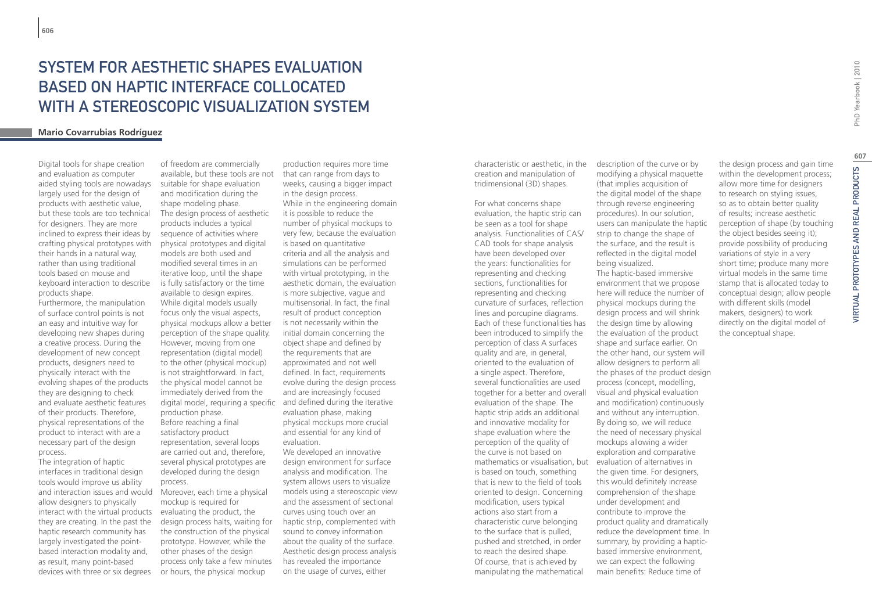## SYSTEM FOR AFSTHETIC SHAPES EVALUATION BASED ON HAPTIC INTERFACE COLLOCATED WITH A STEREOSCOPIC VISUALIZATION SYSTEM

#### **Mario Covarrubias Rodríguez**

Digital tools for shape creation and evaluation as computer aided styling tools are nowadays largely used for the design of products with aesthetic value, but these tools are too technical for designers. They are more inclined to express their ideas by crafting physical prototypes with their hands in a natural way, rather than using traditional tools based on mouse and keyboard interaction to describe products shape.

Furthermore, the manipulation of surface control points is not an easy and intuitive way for developing new shapes during a creative process. During the development of new concept products, designers need to physically interact with the evolving shapes of the products they are designing to check and evaluate aesthetic features of their products. Therefore, physical representations of the product to interact with are a necessary part of the design process.

The integration of haptic interfaces in traditional design tools would improve us ability and interaction issues and would allow designers to physically interact with the virtual products they are creating. In the past the haptic research community has largely investigated the pointbased interaction modality and, as result, many point-based devices with three or six degrees

of freedom are commercially available, but these tools are not suitable for shape evaluation and modification during the shape modeling phase. The design process of aesthetic products includes a typical sequence of activities where physical prototypes and digital models are both used and modified several times in an iterative loop, until the shape is fully satisfactory or the time available to design expires. While digital models usually focus only the visual aspects, physical mockups allow a better perception of the shape quality. However, moving from one representation (digital model) to the other (physical mockup) is not straightforward. In fact, the physical model cannot be immediately derived from the production phase. Before reaching a final satisfactory product representation, several loops are carried out and, therefore, several physical prototypes are developed during the design process. Moreover, each time a physical

mockup is required for evaluating the product, the design process halts, waiting for the construction of the physical prototype. However, while the other phases of the design process only take a few minutes or hours, the physical mockup

digital model, requiring a specific and defined during the iterative production requires more time that can range from days to weeks, causing a bigger impact in the design process. While in the engineering domain it is possible to reduce the number of physical mockups to very few, because the evaluation is based on quantitative criteria and all the analysis and simulations can be performed with virtual prototyping, in the aesthetic domain, the evaluation is more subjective, vague and multisensorial. In fact, the final result of product conception is not necessarily within the initial domain concerning the object shape and defined by the requirements that are approximated and not well defined. In fact, requirements evolve during the design process and are increasingly focused evaluation phase, making physical mockups more crucial and essential for any kind of evaluation. We developed an innovative design environment for surface analysis and modification. The system allows users to visualize models using a stereoscopic view and the assessment of sectional curves using touch over an

haptic strip, complemented with sound to convey information about the quality of the surface. Aesthetic design process analysis has revealed the importance on the usage of curves, either

characteristic or aesthetic, in the creation and manipulation of tridimensional (3D) shapes.

For what concerns shape evaluation, the haptic strip can be seen as a tool for shape analysis. Functionalities of CAS/ CAD tools for shape analysis have been developed over the years: functionalities for representing and checking sections, functionalities for representing and checking curvature of surfaces, reflection lines and porcupine diagrams. Each of these functionalities has been introduced to simplify the perception of class A surfaces quality and are, in general, oriented to the evaluation of a single aspect. Therefore, several functionalities are used together for a better and overall evaluation of the shape. The haptic strip adds an additional and innovative modality for shape evaluation where the perception of the quality of the curve is not based on mathematics or visualisation, but evaluation of alternatives in is based on touch, something that is new to the field of tools oriented to design. Concerning modification, users typical actions also start from a characteristic curve belonging to the surface that is pulled, pushed and stretched, in order to reach the desired shape. Of course, that is achieved by manipulating the mathematical

modifying a physical maquette (that implies acquisition of the digital model of the shape through reverse engineering procedures). In our solution, users can manipulate the haptic strip to change the shape of the surface, and the result is reflected in the digital model being visualized. The haptic-based immersive environment that we propose here will reduce the number of physical mockups during the design process and will shrink the design time by allowing the evaluation of the product shape and surface earlier. On the other hand, our system will allow designers to perform all the phases of the product design process (concept, modelling, visual and physical evaluation and modification) continuously and without any interruption. By doing so, we will reduce the need of necessary physical mockups allowing a wider exploration and comparative the given time. For designers, this would definitely increase comprehension of the shape under development and contribute to improve the product quality and dramatically reduce the development time. In summary, by providing a hapticbased immersive environment, we can expect the following

main benefits: Reduce time of

description of the curve or by

the conceptual shape.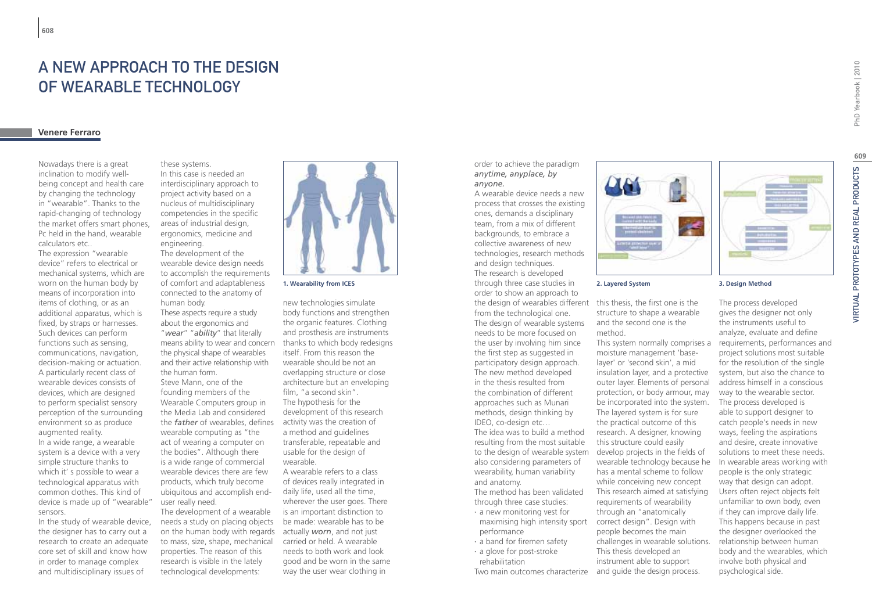## A new approach to the design of wearable technology

### **Venere Ferraro**

**608**

Nowadays there is a great inclination to modify wellbeing concept and health care by changing the technology in "wearable". Thanks to the rapid-changing of technology the market offers smart phones, Pc held in the hand, wearable calculators etc..

The expression "wearable device" refers to electrical or mechanical systems, which are worn on the human body by means of incorporation into items of clothing, or as an additional apparatus, which is fixed, by straps or harnesses. Such devices can perform functions such as sensing, communications, navigation, decision-making or actuation. A particularly recent class of wearable devices consists of devices, which are designed to perform specialist sensory perception of the surrounding environment so as produce augmented reality.

In a wide range, a wearable system is a device with a very simple structure thanks to which it' s possible to wear a technological apparatus with common clothes. This kind of device is made up of "wearable" sensors.

In the study of wearable device, the designer has to carry out a research to create an adequate core set of skill and know how in order to manage complex and multidisciplinary issues of

these systems. In this case is needed an interdisciplinary approach to project activity based on a nucleus of multidisciplinary competencies in the specific areas of industrial design, ergonomics, medicine and engineering.

The development of the wearable device design needs to accomplish the requirements of comfort and adaptableness connected to the anatomy of human body.

These aspects require a study about the ergonomics and "*wear*" "*ability*" that literally means ability to wear and concern the physical shape of wearables and their active relationship with the human form. Steve Mann, one of the founding members of the Wearable Computers group in the Media Lab and considered the *father* of wearables, defines wearable computing as "the act of wearing a computer on the bodies". Although there is a wide range of commercial wearable devices there are few products, which truly become ubiquitous and accomplish enduser really need.

The development of a wearable needs a study on placing objects on the human body with regards to mass, size, shape, mechanical properties. The reason of this research is visible in the lately technological developments:



new technologies simulate body functions and strengthen the organic features. Clothing and prosthesis are instruments thanks to which body redesigns itself. From this reason the wearable should be not an overlapping structure or close architecture but an enveloping film, "a second skin". The hypothesis for the development of this research activity was the creation of a method and guidelines transferable, repeatable and usable for the design of wearable. A wearable refers to a class

of devices really integrated in daily life, used all the time, wherever the user goes. There is an important distinction to be made: wearable has to be actually *worn*, and not just carried or held. A wearable needs to both work and look good and be worn in the same way the user wear clothing in

order to achieve the paradigm *anytime, anyplace, by anyone.*

A wearable device needs a new process that crosses the existing ones, demands a disciplinary team, from a mix of different backgrounds, to embrace a collective awareness of new technologies, research methods and design techniques. The research is developed through three case studies in **1. Wearability from ICES 2. Layered System 3. Design Method**order to show an approach to from the technological one. The design of wearable systems needs to be more focused on the user by involving him since the first step as suggested in

participatory design approach. The new method developed in the thesis resulted from the combination of different approaches such as Munari methods, design thinking by

IDEO, co-design etc… The idea was to build a method resulting from the most suitable also considering parameters of wearability, human variability and anatomy.

The method has been validated through three case studies:

- ∙ a new monitoring vest for maximising high intensity sport correct design". Design with performance
- ∙ a band for firemen safety ∙ a glove for post-stroke rehabilitation

Two main outcomes characterize and guide the design process.



the design of wearables different this thesis, the first one is the structure to shape a wearable and the second one is the method.

to the design of wearable system develop projects in the fields of This system normally comprises a moisture management 'baselayer' or 'second skin', a mid insulation layer, and a protective outer layer. Elements of personal protection, or body armour, may be incorporated into the system. The layered system is for sure the practical outcome of this research. A designer, knowing this structure could easily wearable technology because he has a mental scheme to follow while conceiving new concept This research aimed at satisfying requirements of wearability through an "anatomically people becomes the main challenges in wearable solutions. This thesis developed an instrument able to support

The process developed gives the designer not only the instruments useful to analyze, evaluate and define requirements, performances and project solutions most suitable for the resolution of the single system, but also the chance to address himself in a conscious way to the wearable sector. The process developed is able to support designer to catch people's needs in new ways, feeling the aspirations and desire, create innovative solutions to meet these needs. In wearable areas working with people is the only strategic way that design can adopt. Users often reject objects felt unfamiliar to own body, even if they can improve daily life. This happens because in past the designer overlooked the relationship between human body and the wearables, which involve both physical and psychological side.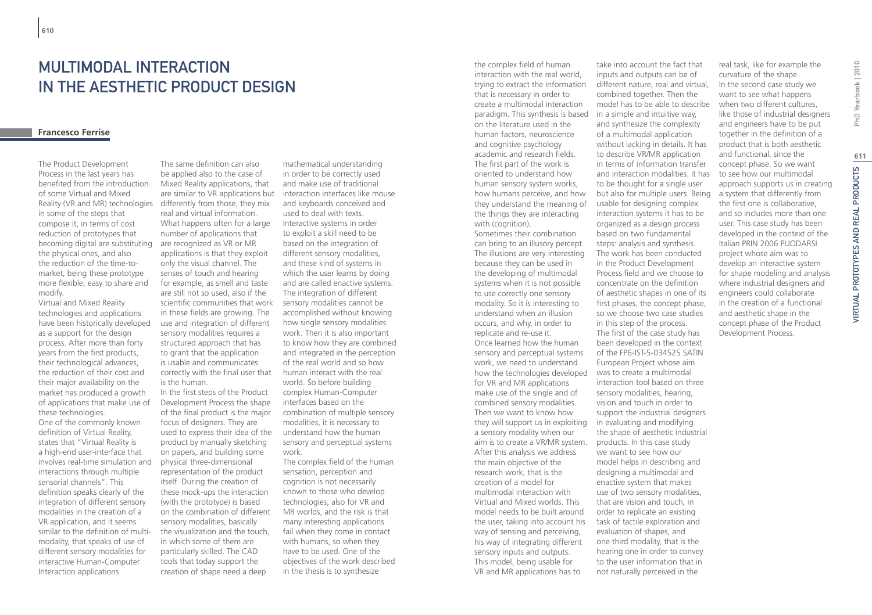## Multimodal Interaction in the Aesthetic Product Design

### **Francesco Ferrise**

The Product Development Process in the last years has benefited from the introduction of some Virtual and Mixed Reality (VR and MR) technologies in some of the steps that compose it, in terms of cost reduction of prototypes that becoming digital are substituting the physical ones, and also the reduction of the time-tomarket, being these prototype more flexible, easy to share and modify.

Virtual and Mixed Reality technologies and applications have been historically developed as a support for the design process. After more than forty years from the first products, their technological advances, the reduction of their cost and their major availability on the market has produced a growth of applications that make use of these technologies.

One of the commonly known definition of Virtual Reality, states that "Virtual Reality is a high-end user-interface that involves real-time simulation and interactions through multiple sensorial channels". This definition speaks clearly of the integration of different sensory modalities in the creation of a VR application, and it seems similar to the definition of multimodality, that speaks of use of different sensory modalities for interactive Human-Computer Interaction applications.

The same definition can also be applied also to the case of Mixed Reality applications, that are similar to VR applications but differently from those, they mix real and virtual information. What happens often for a large number of applications that are recognized as VR or MR applications is that they exploit only the visual channel. The senses of touch and hearing for example, as smell and taste are still not so used, also if the scientific communities that work in these fields are growing. The use and integration of different sensory modalities requires a structured approach that has to grant that the application is usable and communicates correctly with the final user that is the human.

In the first steps of the Product Development Process the shape of the final product is the major focus of designers. They are used to express their idea of the product by manually sketching on papers, and building some physical three-dimensional representation of the product itself. During the creation of these mock-ups the interaction (with the prototype) is based on the combination of different sensory modalities, basically the visualization and the touch, in which some of them are particularly skilled. The CAD tools that today support the creation of shape need a deep

mathematical understanding in order to be correctly used and make use of traditional interaction interfaces like mouse and keyboards conceived and used to deal with texts. Interactive systems in order to exploit a skill need to be based on the integration of different sensory modalities, and these kind of systems in which the user learns by doing and are called enactive systems. The integration of different sensory modalities cannot be accomplished without knowing how single sensory modalities work. Then it is also important to know how they are combined and integrated in the perception of the real world and so how human interact with the real world. So before building complex Human-Computer interfaces based on the combination of multiple sensory modalities, it is necessary to understand how the human sensory and perceptual systems work.

The complex field of the human sensation, perception and cognition is not necessarily known to those who develop technologies, also for VR and MR worlds, and the risk is that many interesting applications fail when they come in contact with humans, so when they have to be used. One of the objectives of the work described in the thesis is to synthesize

the complex field of human interaction with the real world, trying to extract the information that is necessary in order to create a multimodal interaction paradigm. This synthesis is based on the literature used in the human factors, neuroscience and cognitive psychology academic and research fields. The first part of the work is oriented to understand how human sensory system works, how humans perceive, and how they understand the meaning of the things they are interacting with (cognition).

Sometimes their combination can bring to an illusory percept. The illusions are very interesting because they can be used in the developing of multimodal systems when it is not possible to use correctly one sensory modality. So it is interesting to understand when an illusion occurs, and why, in order to replicate and re-use it. Once learned how the human sensory and perceptual systems work, we need to understand how the technologies developed was to create a multimodal for VR and MR applications make use of the single and of combined sensory modalities. Then we want to know how they will support us in exploiting in evaluating and modifying a sensory modality when our aim is to create a VR/MR system. After this analysis we address the main objective of the research work, that is the creation of a model for multimodal interaction with Virtual and Mixed worlds. This model needs to be built around the user, taking into account his way of sensing and perceiving, his way of integrating different sensory inputs and outputs. This model, being usable for VR and MR applications has to

take into account the fact that inputs and outputs can be of different nature, real and virtual, combined together. Then the model has to be able to describe in a simple and intuitive way, and synthesize the complexity of a multimodal application without lacking in details. It has to describe VR/MR application in terms of information transfer and interaction modalities. It has to be thought for a single user but also for multiple users. Being usable for designing complex interaction systems it has to be organized as a design process based on two fundamental steps: analysis and synthesis. The work has been conducted in the Product Development Process field and we choose to concentrate on the definition of aesthetic shapes in one of its first phases, the concept phase, so we choose two case studies in this step of the process. The first of the case study has been developed in the context of the FP6-IST-5-034525 SATIN European Project whose aim interaction tool based on three sensory modalities, hearing, vision and touch in order to support the industrial designers the shape of aesthetic industrial products. In this case study we want to see how our model helps in describing and designing a multimodal and enactive system that makes use of two sensory modalities, that are vision and touch, in order to replicate an existing task of tactile exploration and evaluation of shapes, and one third modality, that is the hearing one in order to convey

to the user information that in not naturally perceived in the

real task, like for example the curvature of the shape. In the second case study we want to see what happens when two different cultures. like those of industrial designers and engineers have to be put together in the definition of a product that is both aesthetic and functional, since the concept phase. So we want to see how our multimodal approach supports us in creating a system that differently from the first one is collaborative, and so includes more than one user. This case study has been developed in the context of the Italian PRIN 2006 PUODARSI project whose aim was to develop an interactive system for shape modeling and analysis where industrial designers and engineers could collaborate in the creation of a functional and aesthetic shape in the concept phase of the Product Development Process.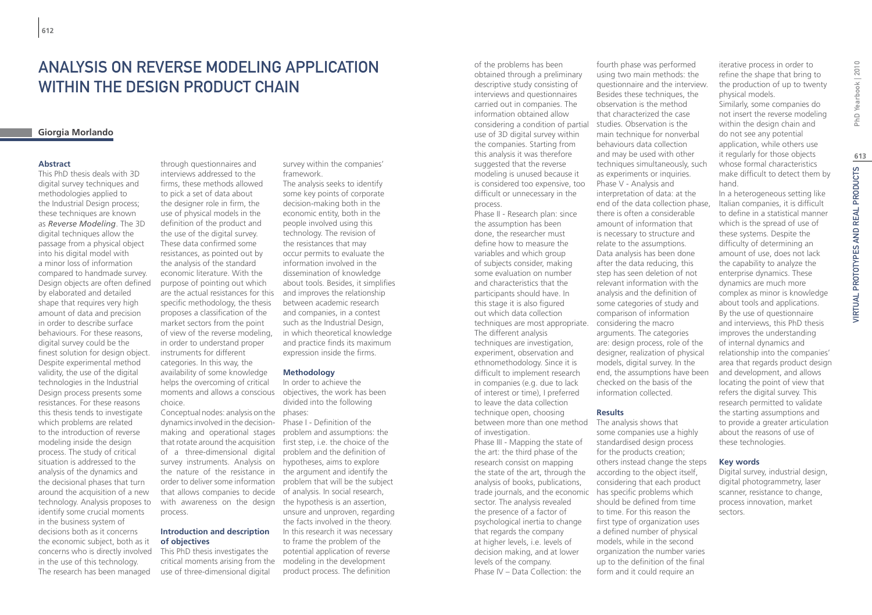## Analysis on Reverse Modeling application WITHIN THE DESIGN PRODUCT CHAIN

### **Giorgia Morlando**

#### **Abstract**

This PhD thesis deals with 3D digital survey techniques and methodologies applied to the Industrial Design process; these techniques are known as *Reverse Modeling*. The 3D digital techniques allow the passage from a physical object into his digital model with a minor loss of information compared to handmade survey. Design objects are often defined by elaborated and detailed shape that requires very high amount of data and precision in order to describe surface behaviours. For these reasons, digital survey could be the finest solution for design object. Despite experimental method validity, the use of the digital technologies in the Industrial Design process presents some resistances. For these reasons this thesis tends to investigate which problems are related to the introduction of reverse modeling inside the design process. The study of critical situation is addressed to the analysis of the dynamics and the decisional phases that turn around the acquisition of a new technology. Analysis proposes to identify some crucial moments in the business system of decisions both as it concerns the economic subject, both as it concerns who is directly involved in the use of this technology. The research has been managed

through questionnaires and interviews addressed to the firms, these methods allowed to pick a set of data about the designer role in firm, the use of physical models in the definition of the product and the use of the digital survey. These data confirmed some resistances, as pointed out by the analysis of the standard economic literature. With the purpose of pointing out which are the actual resistances for this and improves the relationship specific methodology, the thesis proposes a classification of the market sectors from the point of view of the reverse modeling, in order to understand proper instruments for different categories. In this way, the availability of some knowledge helps the overcoming of critical moments and allows a conscious objectives, the work has been

choice. Conceptual nodes: analysis on the phases: dynamics involved in the decision-Phase I - Definition of the making and operational stages that rotate around the acquisition of a three-dimensional digital survey instruments. Analysis on hypotheses, aims to explore the nature of the resistance in the argument and identify the order to deliver some information that allows companies to decide with awareness on the design the hypothesis is an assertion, process.

#### **Introduction and description of objectives**

This PhD thesis investigates the critical moments arising from the use of three-dimensional digital

survey within the companies' framework.

The analysis seeks to identify some key points of corporate decision-making both in the economic entity, both in the people involved using this technology. The revision of the resistances that may occur permits to evaluate the information involved in the dissemination of knowledge about tools. Besides, it simplifies between academic research and companies, in a contest such as the Industrial Design, in which theoretical knowledge and practice finds its maximum expression inside the firms.

#### **Methodology**

In order to achieve the divided into the following

problem and assumptions: the first step, i.e. the choice of the problem and the definition of problem that will be the subject of analysis. In social research, unsure and unproven, regarding the facts involved in the theory. In this research it was necessary to frame the problem of the potential application of reverse modeling in the development product process. The definition

of the problems has been obtained through a preliminary descriptive study consisting of interviews and questionnaires carried out in companies. The information obtained allow considering a condition of partial use of 3D digital survey within the companies. Starting from this analysis it was therefore suggested that the reverse modeling is unused because it is considered too expensive, too difficult or unnecessary in the process.

Phase II - Research plan: since the assumption has been done, the researcher must define how to measure the variables and which group of subjects consider, making some evaluation on number and characteristics that the participants should have. In this stage it is also figured out which data collection techniques are most appropriate. considering the macro The different analysis techniques are investigation, experiment, observation and ethnomethodology. Since it is difficult to implement research in companies (e.g. due to lack of interest or time), I preferred to leave the data collection technique open, choosing between more than one method The analysis shows that of investigation.

Phase III - Mapping the state of the art: the third phase of the research consist on mapping the state of the art, through the according to the object itself, analysis of books, publications, trade journals, and the economic has specific problems which sector. The analysis revealed the presence of a factor of psychological inertia to change that regards the company at higher levels, i.e. levels of decision making, and at lower levels of the company. Phase IV – Data Collection: the

fourth phase was performed using two main methods: the questionnaire and the interview. Besides these techniques, the observation is the method that characterized the case studies. Observation is the main technique for nonverbal behaviours data collection and may be used with other techniques simultaneously, such as experiments or inquiries. Phase V - Analysis and interpretation of data: at the end of the data collection phase, there is often a considerable amount of information that is necessary to structure and relate to the assumptions. Data analysis has been done after the data reducing, this step has seen deletion of not relevant information with the analysis and the definition of some categories of study and comparison of information arguments. The categories are: design process, role of the designer, realization of physical models, digital survey. In the end, the assumptions have been checked on the basis of the information collected.

#### **Results**

some companies use a highly standardised design process for the products creation; others instead change the steps considering that each product should be defined from time to time. For this reason the first type of organization uses a defined number of physical models, while in the second organization the number varies up to the definition of the final form and it could require an

iterative process in order to refine the shape that bring to the production of up to twenty physical models. Similarly, some companies do not insert the reverse modeling within the design chain and do not see any potential application, while others use it regularly for those objects whose formal characteristics make difficult to detect them by hand.

In a heterogeneous setting like Italian companies, it is difficult to define in a statistical manner which is the spread of use of these systems. Despite the difficulty of determining an amount of use, does not lack the capability to analyze the enterprise dynamics. These dynamics are much more complex as minor is knowledge about tools and applications. By the use of questionnaire and interviews, this PhD thesis improves the understanding of internal dynamics and relationship into the companies' area that regards product design and development, and allows locating the point of view that refers the digital survey. This research permitted to validate the starting assumptions and to provide a greater articulation about the reasons of use of these technologies.

#### **Key words**

Digital survey, industrial design, digital photogrammetry, laser scanner, resistance to change, process innovation, market sectors.